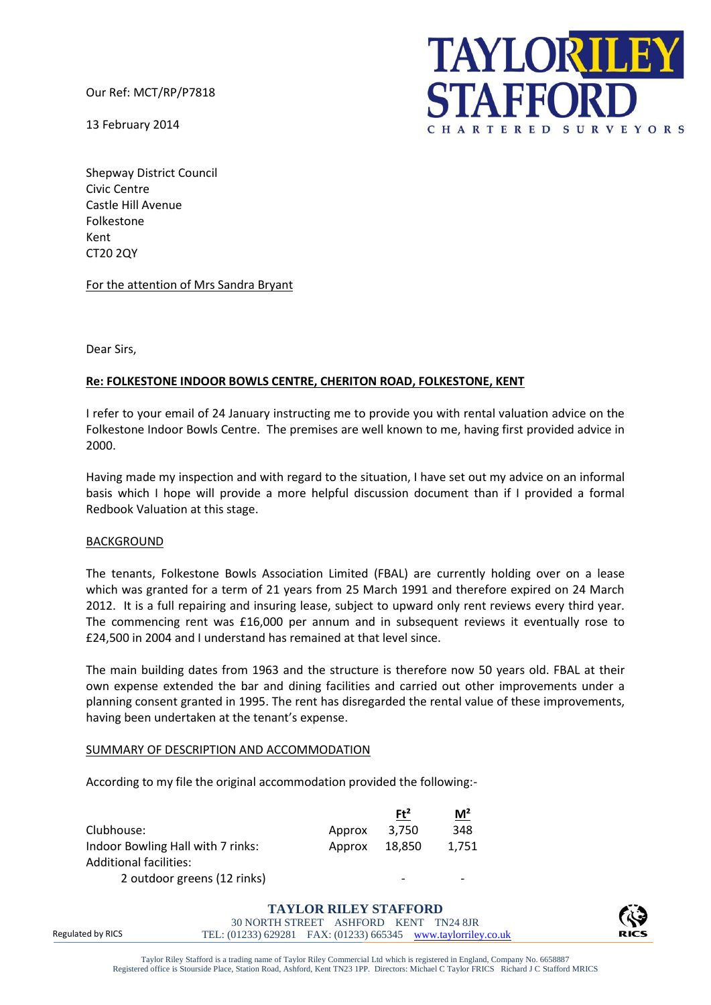Our Ref: MCT/RP/P7818

13 February 2014



Shepway District Council Civic Centre Castle Hill Avenue Folkestone Kent CT20 2QY

For the attention of Mrs Sandra Bryant

Dear Sirs,

# **Re: FOLKESTONE INDOOR BOWLS CENTRE, CHERITON ROAD, FOLKESTONE, KENT**

I refer to your email of 24 January instructing me to provide you with rental valuation advice on the Folkestone Indoor Bowls Centre. The premises are well known to me, having first provided advice in 2000.

Having made my inspection and with regard to the situation, I have set out my advice on an informal basis which I hope will provide a more helpful discussion document than if I provided a formal Redbook Valuation at this stage.

## BACKGROUND

The tenants, Folkestone Bowls Association Limited (FBAL) are currently holding over on a lease which was granted for a term of 21 years from 25 March 1991 and therefore expired on 24 March 2012. It is a full repairing and insuring lease, subject to upward only rent reviews every third year. The commencing rent was £16,000 per annum and in subsequent reviews it eventually rose to £24,500 in 2004 and I understand has remained at that level since.

The main building dates from 1963 and the structure is therefore now 50 years old. FBAL at their own expense extended the bar and dining facilities and carried out other improvements under a planning consent granted in 1995. The rent has disregarded the rental value of these improvements, having been undertaken at the tenant's expense.

## SUMMARY OF DESCRIPTION AND ACCOMMODATION

According to my file the original accommodation provided the following:-

|                                   |        | $Ft^2$ | M <sup>2</sup> |
|-----------------------------------|--------|--------|----------------|
| Clubhouse:                        | Approx | 3.750  | 348            |
| Indoor Bowling Hall with 7 rinks: | Approx | 18,850 | 1.751          |
| Additional facilities:            |        |        |                |
| 2 outdoor greens (12 rinks)       |        |        |                |

Regulated by RICS **TAYLOR RILEY STAFFORD** 30 NORTH STREET ASHFORD KENT TN24 8JR TEL: (01233) 629281 FAX: (01233) 665345 www.taylorriley.co.uk 

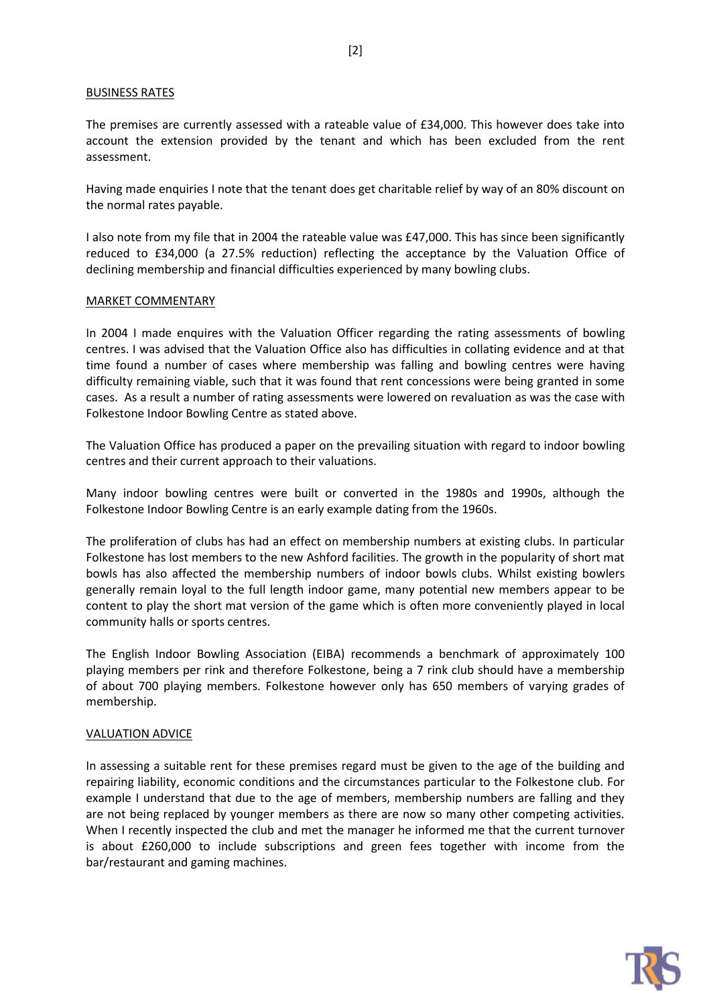## BUSINESS RATES

The premises are currently assessed with a rateable value of £34,000. This however does take into account the extension provided by the tenant and which has been excluded from the rent assessment.

Having made enquiries I note that the tenant does get charitable relief by way of an 80% discount on the normal rates payable.

I also note from my file that in 2004 the rateable value was £47,000. This has since been significantly reduced to £34,000 (a 27.5% reduction) reflecting the acceptance by the Valuation Office of declining membership and financial difficulties experienced by many bowling clubs.

## MARKET COMMENTARY

In 2004 I made enquires with the Valuation Officer regarding the rating assessments of bowling centres. I was advised that the Valuation Office also has difficulties in collating evidence and at that time found a number of cases where membership was falling and bowling centres were having difficulty remaining viable, such that it was found that rent concessions were being granted in some cases. As a result a number of rating assessments were lowered on revaluation as was the case with Folkestone Indoor Bowling Centre as stated above.

The Valuation Office has produced a paper on the prevailing situation with regard to indoor bowling centres and their current approach to their valuations.

Many indoor bowling centres were built or converted in the 1980s and 1990s, although the Folkestone Indoor Bowling Centre is an early example dating from the 1960s.

The proliferation of clubs has had an effect on membership numbers at existing clubs. In particular Folkestone has lost members to the new Ashford facilities. The growth in the popularity of short mat bowls has also affected the membership numbers of indoor bowls clubs. Whilst existing bowlers generally remain loyal to the full length indoor game, many potential new members appear to be content to play the short mat version of the game which is often more conveniently played in local community halls or sports centres.

The English Indoor Bowling Association (EIBA) recommends a benchmark of approximately 100 playing members per rink and therefore Folkestone, being a 7 rink club should have a membership of about 700 playing members. Folkestone however only has 650 members of varying grades of membership.

## VALUATION ADVICE

In assessing a suitable rent for these premises regard must be given to the age of the building and repairing liability, economic conditions and the circumstances particular to the Folkestone club. For example I understand that due to the age of members, membership numbers are falling and they are not being replaced by younger members as there are now so many other competing activities. When I recently inspected the club and met the manager he informed me that the current turnover is about £260,000 to include subscriptions and green fees together with income from the bar/restaurant and gaming machines.